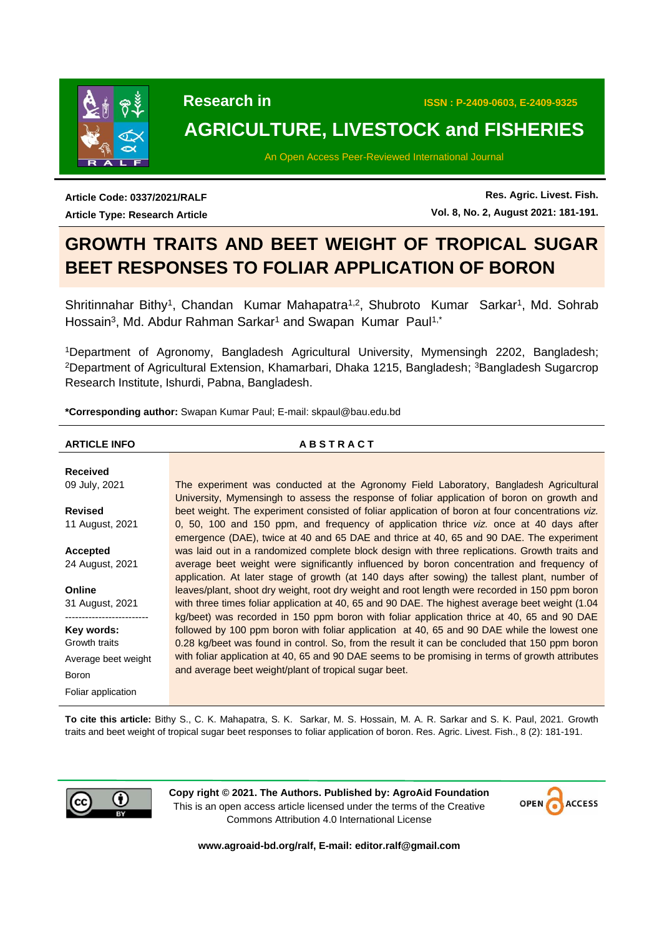

# **AGRICULTURE, LIVESTOCK and FISHERIES**

An Open Access Peer-Reviewed International Journal

**Article Code: 0337/2021/RALF Article Type: Research Article**

**Res. Agric. Livest. Fish. Vol. 8, No. 2, August 2021: 181-191.**

# **GROWTH TRAITS AND BEET WEIGHT OF TROPICAL SUGAR BEET RESPONSES TO FOLIAR APPLICATION OF BORON**

Shritinnahar Bithy<sup>1</sup>, Chandan Kumar Mahapatra<sup>1,2</sup>, Shubroto Kumar Sarkar<sup>1</sup>, Md. Sohrab Hossain<sup>3</sup>, Md. Abdur Rahman Sarkar<sup>1</sup> and Swapan Kumar Paul<sup>1,\*</sup>

<sup>1</sup>Department of Agronomy, Bangladesh Agricultural University, Mymensingh 2202, Bangladesh; <sup>2</sup>Department of Agricultural Extension, Khamarbari, Dhaka 1215, Bangladesh; <sup>3</sup>Bangladesh Sugarcrop Research Institute, Ishurdi, Pabna, Bangladesh.

**\*Corresponding author:** Swapan Kumar Paul; E-mail: [skpaul@bau.edu.bd](mailto:skpaul@bau.edu.bd) 

### **ARTICLE INFO A B S T R A C T**

**Received** 09 July, 2021 **Revised** 11 August, 2021 **Accepted** 24 August, 2021 **Online** 31 August, 2021 ------------------------- **Key words:** Growth traits Average beet weight Boron Foliar application The experiment was conducted at the Agronomy Field Laboratory, Bangladesh Agricultural University, Mymensingh to assess the response of foliar application of boron on growth and beet weight. The experiment consisted of foliar application of boron at four concentrations *viz.* 0, 50, 100 and 150 ppm, and frequency of application thrice *viz.* once at 40 days after emergence (DAE), twice at 40 and 65 DAE and thrice at 40, 65 and 90 DAE. The experiment was laid out in a randomized complete block design with three replications. Growth traits and average beet weight were significantly influenced by boron concentration and frequency of application. At later stage of growth (at 140 days after sowing) the tallest plant, number of leaves/plant, shoot dry weight, root dry weight and root length were recorded in 150 ppm boron with three times foliar application at 40, 65 and 90 DAE. The highest average beet weight (1.04 kg/beet) was recorded in 150 ppm boron with foliar application thrice at 40, 65 and 90 DAE followed by 100 ppm boron with foliar application at 40, 65 and 90 DAE while the lowest one 0.28 kg/beet was found in control. So, from the result it can be concluded that 150 ppm boron with foliar application at 40, 65 and 90 DAE seems to be promising in terms of growth attributes and average beet weight/plant of tropical sugar beet.

**To cite this article:** Bithy S., C. K. Mahapatra, S. K. Sarkar, M. S. Hossain, M. A. R. Sarkar and S. K. Paul, 2021. Growth traits and beet weight of tropical sugar beet responses to foliar application of boron. Res. Agric. Livest. Fish., 8 (2): 181-191.



**Copy right © 2021. The Authors. Published by: AgroAid Foundation** This is an open access article licensed under the terms of the Creative Commons Attribution 4.0 International License



**[www.agroaid-bd.org/ralf,](http://www.agroaid-bd.org/ralf) E-mail: [editor.ralf@gmail.com](mailto:editor.ralf@gmail.com)**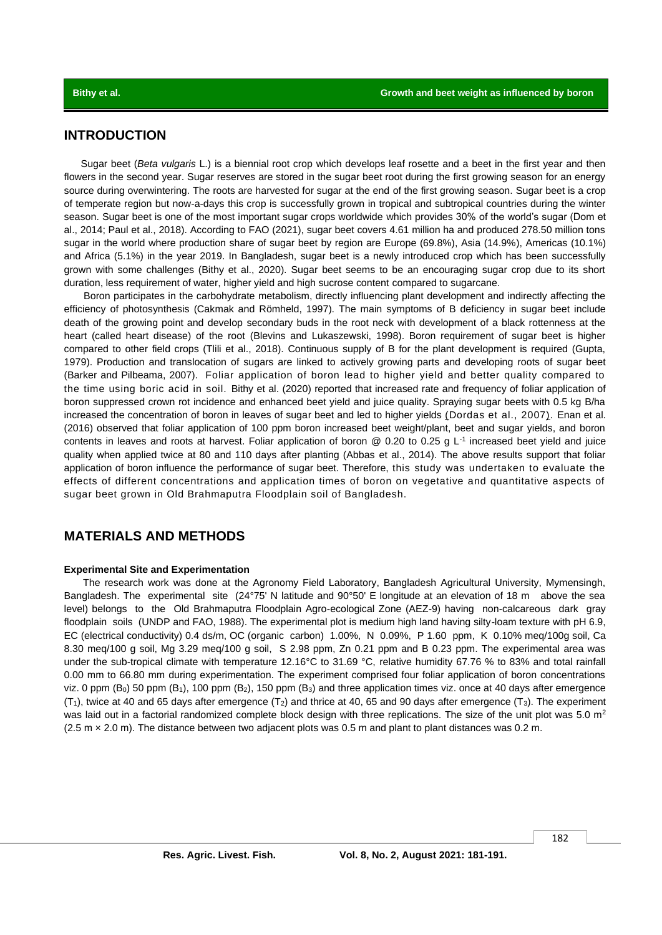## **INTRODUCTION**

 Sugar beet (*Beta vulgaris* L.) is a biennial root crop which develops leaf rosette and a beet in the first year and then flowers in the second year. Sugar reserves are stored in the sugar beet root during the first growing season for an energy source during overwintering. The roots are harvested for sugar at the end of the first growing season. Sugar beet is a crop of temperate region but now-a-days this crop is successfully grown in tropical and subtropical countries during the winter season. Sugar beet is one of the most important sugar crops worldwide which provides 30% of the world's sugar (Dom et al., 2014; Paul et al., 2018). According to FAO (2021), sugar beet covers 4.61 million ha and produced 278.50 million tons sugar in the world where production share of sugar beet by region are Europe (69.8%), Asia (14.9%), Americas (10.1%) and Africa (5.1%) in the year 2019. In Bangladesh, sugar beet is a newly introduced crop which has been successfully grown with some challenges (Bithy et al., 2020). Sugar beet seems to be an encouraging sugar crop due to its short duration, less requirement of water, higher yield and high sucrose content compared to sugarcane.

 Boron participates in the carbohydrate metabolism, directly influencing plant development and indirectly affecting the efficiency of photosynthesis (Cakmak and Römheld, 1997). The main symptoms of B deficiency in sugar beet include death of the growing point and develop secondary buds in the root neck with development of a black rottenness at the heart (called heart disease) of the root (Blevins and Lukaszewski, 1998). Boron requirement of sugar beet is higher compared to other field crops (Tlili et al., 2018). Continuous supply of B for the plant development is required (Gupta, 1979). Production and translocation of sugars are linked to actively growing parts and developing roots of sugar beet (Barker and Pilbeama, 2007). Foliar application of boron lead to higher yield and better quality compared to the time using boric acid in soil. Bithy et al. (2020) reported that increased rate and frequency of foliar application of boron suppressed crown rot incidence and enhanced beet yield and juice quality. Spraying sugar beets with 0.5 kg B/ha increased the concentration of boron in leaves of sugar beet and led to higher yields (Dordas et al., 2007). Enan et al. (2016) observed that foliar application of 100 ppm boron increased beet weight/plant, beet and sugar yields, and boron contents in leaves and roots at harvest. Foliar application of boron  $@$  0.20 to 0.25 g L<sup>-1</sup> increased beet yield and juice quality when applied twice at 80 and 110 days after planting (Abbas et al., 2014). The above results support that foliar application of boron influence the performance of sugar beet. Therefore, this study was undertaken to evaluate the effects of different concentrations and application times of boron on vegetative and quantitative aspects of sugar beet grown in Old Brahmaputra Floodplain soil of Bangladesh.

## **MATERIALS AND METHODS**

### **Experimental Site and Experimentation**

The research work was done at the Agronomy Field Laboratory, Bangladesh Agricultural University, Mymensingh, Bangladesh. The experimental site (24°75' N latitude and 90°50' E longitude at an elevation of 18 m above the sea level) belongs to the Old Brahmaputra Floodplain Agro-ecological Zone (AEZ-9) having non-calcareous dark gray floodplain soils (UNDP and FAO, 1988). The experimental plot is medium high land having silty-loam texture with pH 6.9, EC (electrical conductivity) 0.4 ds/m, OC (organic carbon) 1.00%, N 0.09%, P 1.60 ppm, K 0.10% meq/100g soil, Ca 8.30 meq/100 g soil, Mg 3.29 meq/100 g soil, S 2.98 ppm, Zn 0.21 ppm and B 0.23 ppm. The experimental area was under the sub-tropical climate with temperature 12.16°C to 31.69 °C, relative humidity 67.76 % to 83% and total rainfall 0.00 mm to 66.80 mm during experimentation. The experiment comprised four foliar application of boron concentrations viz. 0 ppm  $(B_0)$  50 ppm  $(B_1)$ , 100 ppm  $(B_2)$ , 150 ppm  $(B_3)$  and three application times viz. once at 40 days after emergence  $(T_1)$ , twice at 40 and 65 days after emergence  $(T_2)$  and thrice at 40, 65 and 90 days after emergence  $(T_3)$ . The experiment was laid out in a factorial randomized complete block design with three replications. The size of the unit plot was  $5.0 \text{ m}^2$ (2.5 m × 2.0 m). The distance between two adjacent plots was 0.5 m and plant to plant distances was 0.2 m.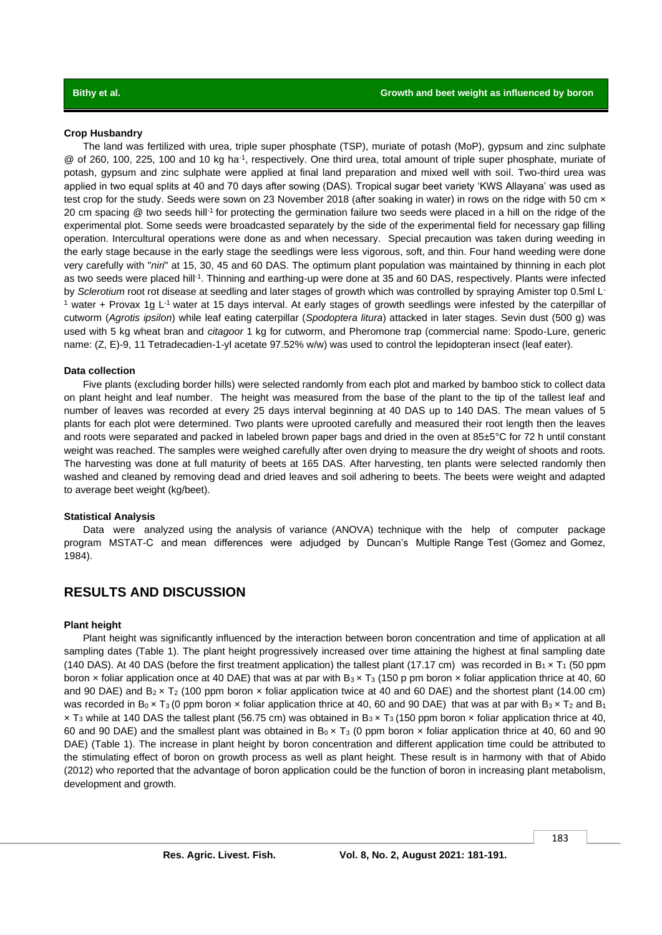### **Crop Husbandry**

The land was fertilized with urea, triple super phosphate (TSP), muriate of potash (MoP), gypsum and zinc sulphate @ of 260, 100, 225, 100 and 10 kg ha<sup>-1</sup>, respectively. One third urea, total amount of triple super phosphate, muriate of potash, gypsum and zinc sulphate were applied at final land preparation and mixed well with soil. Two-third urea was applied in two equal splits at 40 and 70 days after sowing (DAS). Tropical sugar beet variety 'KWS Allayana' was used as test crop for the study. Seeds were sown on 23 November 2018 (after soaking in water) in rows on the ridge with 50 cm x 20 cm spacing @ two seeds hill-1 for protecting the germination failure two seeds were placed in a hill on the ridge of the experimental plot. Some seeds were broadcasted separately by the side of the experimental field for necessary gap filling operation. Intercultural operations were done as and when necessary. Special precaution was taken during weeding in the early stage because in the early stage the seedlings were less vigorous, soft, and thin. Four hand weeding were done very carefully with "*niri*" at 15, 30, 45 and 60 DAS. The optimum plant population was maintained by thinning in each plot as two seeds were placed hill<sup>-1</sup>. Thinning and earthing-up were done at 35 and 60 DAS, respectively. Plants were infected by *Sclerotium* root rot disease at seedling and later stages of growth which was controlled by spraying Amister top 0.5ml L- $1$  water + Provax 1g L $1$  water at 15 days interval. At early stages of growth seedlings were infested by the caterpillar of cutworm (*Agrotis ipsilon*) while leaf eating caterpillar (*Spodoptera litura*) attacked in later stages. Sevin dust (500 g) was used with 5 kg wheat bran and *citagoor* 1 kg for cutworm, and Pheromone trap (commercial name: Spodo-Lure, generic name: (Z, E)-9, 11 Tetradecadien-1-yl acetate 97.52% w/w) was used to control the lepidopteran insect (leaf eater).

### **Data collection**

Five plants (excluding border hills) were selected randomly from each plot and marked by bamboo stick to collect data on plant height and leaf number. The height was measured from the base of the plant to the tip of the tallest leaf and number of leaves was recorded at every 25 days interval beginning at 40 DAS up to 140 DAS. The mean values of 5 plants for each plot were determined. Two plants were uprooted carefully and measured their root length then the leaves and roots were separated and packed in labeled brown paper bags and dried in the oven at 85±5°C for 72 h until constant weight was reached. The samples were weighed carefully after oven drying to measure the dry weight of shoots and roots. The harvesting was done at full maturity of beets at 165 DAS. After harvesting, ten plants were selected randomly then washed and cleaned by removing dead and dried leaves and soil adhering to beets. The beets were weight and adapted to average beet weight (kg/beet).

### **Statistical Analysis**

Data were analyzed using the analysis of variance (ANOVA) technique with the help of computer package program MSTAT-C and mean differences were adjudged by Duncan's Multiple Range Test (Gomez and Gomez, 1984).

# **RESULTS AND DISCUSSION**

### **Plant height**

Plant height was significantly influenced by the interaction between boron concentration and time of application at all sampling dates (Table 1). The plant height progressively increased over time attaining the highest at final sampling date (140 DAS). At 40 DAS (before the first treatment application) the tallest plant (17.17 cm) was recorded in  $B_1 \times T_1$  (50 ppm boron x foliar application once at 40 DAE) that was at par with  $B_3 \times T_3$  (150 p pm boron x foliar application thrice at 40, 60 and 90 DAE) and  $B_2 \times T_2$  (100 ppm boron  $\times$  foliar application twice at 40 and 60 DAE) and the shortest plant (14.00 cm) was recorded in B<sub>0</sub> x T<sub>3</sub> (0 ppm boron x foliar application thrice at 40, 60 and 90 DAE) that was at par with B<sub>3</sub> x T<sub>2</sub> and B<sub>1</sub>  $\times$  T<sub>3</sub> while at 140 DAS the tallest plant (56.75 cm) was obtained in B<sub>3</sub>  $\times$  T<sub>3</sub> (150 ppm boron  $\times$  foliar application thrice at 40, 60 and 90 DAE) and the smallest plant was obtained in  $B_0 \times T_3$  (0 ppm boron  $\times$  foliar application thrice at 40, 60 and 90 DAE) (Table 1). The increase in plant height by boron concentration and different application time could be attributed to the stimulating effect of boron on growth process as well as plant height. These result is in harmony with that of Abido (2012) who reported that the advantage of boron application could be the function of boron in increasing plant metabolism, development and growth.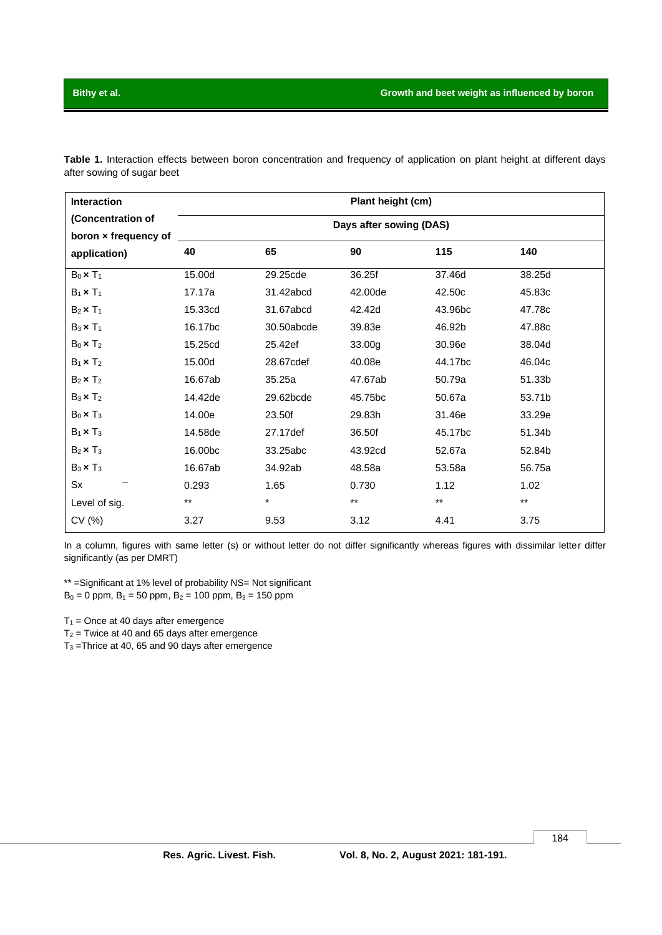**Table 1.** Interaction effects between boron concentration and frequency of application on plant height at different days after sowing of sugar beet

| Interaction                                               | Plant height (cm)<br>Days after sowing (DAS) |            |              |              |              |  |
|-----------------------------------------------------------|----------------------------------------------|------------|--------------|--------------|--------------|--|
| (Concentration of<br>boron x frequency of<br>application) |                                              |            |              |              |              |  |
|                                                           | 40                                           | 65         | 90           | 115          | 140          |  |
| $B_0 \times T_1$                                          | 15.00d                                       | 29.25cde   | 36.25f       | 37.46d       | 38.25d       |  |
| $B_1 \times T_1$                                          | 17.17a                                       | 31.42abcd  | 42.00de      | 42.50c       | 45.83c       |  |
| $B_2 \times T_1$                                          | 15.33cd                                      | 31.67abcd  | 42.42d       | 43.96bc      | 47.78c       |  |
| $B_3 \times T_1$                                          | 16.17 <sub>bc</sub>                          | 30.50abcde | 39.83e       | 46.92b       | 47.88c       |  |
| $B_0 \times T_2$                                          | 15.25cd                                      | 25.42ef    | 33.00g       | 30.96e       | 38.04d       |  |
| $B_1 \times T_2$                                          | 15.00d                                       | 28.67cdef  | 40.08e       | 44.17bc      | 46.04c       |  |
| $B_2 \times T_2$                                          | 16.67ab                                      | 35.25a     | 47.67ab      | 50.79a       | 51.33b       |  |
| $B_3 \times T_2$                                          | 14.42de                                      | 29.62bcde  | 45.75bc      | 50.67a       | 53.71b       |  |
| $B_0 \times T_3$                                          | 14.00e                                       | 23.50f     | 29.83h       | 31.46e       | 33.29e       |  |
| $B_1 \times T_3$                                          | 14.58de                                      | 27.17def   | 36.50f       | 45.17bc      | 51.34b       |  |
| $B_2 \times T_3$                                          | 16.00bc                                      | 33.25abc   | 43.92cd      | 52.67a       | 52.84b       |  |
| $B_3 \times T_3$                                          | 16.67ab                                      | 34.92ab    | 48.58a       | 53.58a       | 56.75a       |  |
| Sx                                                        | 0.293                                        | 1.65       | 0.730        | 1.12         | 1.02         |  |
| Level of sig.                                             | $\star\star$                                 | $\star$    | $\star\star$ | $\star\star$ | $\star\star$ |  |
| CV (%)                                                    | 3.27                                         | 9.53       | 3.12         | 4.41         | 3.75         |  |

In a column, figures with same letter (s) or without letter do not differ significantly whereas figures with dissimilar letter differ significantly (as per DMRT)

\*\* =Significant at 1% level of probability NS= Not significant  $B_0 = 0$  ppm,  $B_1 = 50$  ppm,  $B_2 = 100$  ppm,  $B_3 = 150$  ppm

 $T_1$  = Once at 40 days after emergence

 $T_2$  = Twice at 40 and 65 days after emergence

 $T_3$  =Thrice at 40, 65 and 90 days after emergence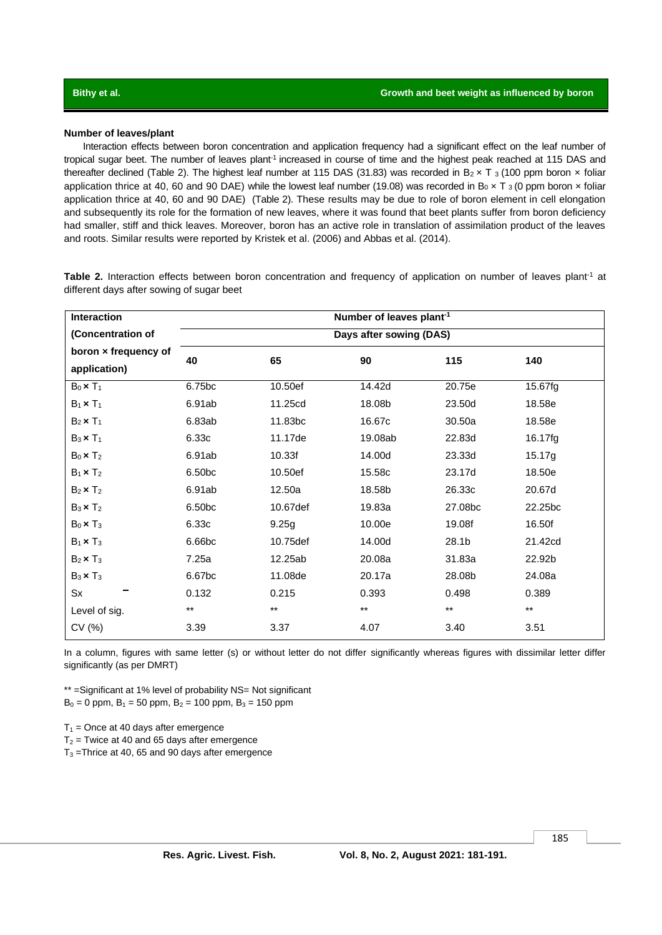### **Number of leaves/plant**

Interaction effects between boron concentration and application frequency had a significant effect on the leaf number of tropical sugar beet. The number of leaves plant<sup>-1</sup> increased in course of time and the highest peak reached at 115 DAS and thereafter declined (Table 2). The highest leaf number at 115 DAS (31.83) was recorded in B<sub>2</sub> × T<sub>3</sub> (100 ppm boron × foliar application thrice at 40, 60 and 90 DAE) while the lowest leaf number (19.08) was recorded in B<sub>0</sub>  $\times$  T<sub>3</sub> (0 ppm boron  $\times$  foliar application thrice at 40, 60 and 90 DAE) (Table 2). These results may be due to role of boron element in cell elongation and subsequently its role for the formation of new leaves, where it was found that beet plants suffer from boron deficiency had smaller, stiff and thick leaves. Moreover, boron has an active role in translation of assimilation product of the leaves and roots. Similar results were reported by Kristek et al. (2006) and Abbas et al. (2014).

**Interaction (Concentration of boron × frequency of application) Number of leaves plant-1 Days after sowing (DAS) 40 65 90 115 140** B0 **×** T<sup>1</sup> 6.75bc 10.50ef 14.42d 20.75e 15.67fg B1 **×** T<sup>1</sup> 6.91ab 11.25cd 18.08b 23.50d 18.58e B2 **×** T<sup>1</sup> 6.83ab 11.83bc 16.67c 30.50a 18.58e B<sub>3</sub> **×** T<sub>1</sub> 6.33c 11.17de 19.08ab 22.83d 16.17fg B0 **×** T<sup>2</sup> 6.91ab 10.33f 14.00d 23.33d 15.17g B1 **×** T<sup>2</sup> 6.50bc 10.50ef 15.58c 23.17d 18.50e B2 **×** T<sup>2</sup> 6.91ab 12.50a 18.58b 26.33c 20.67d B3 **×** T<sup>2</sup> 6.50bc 10.67def 19.83a 27.08bc 22.25bc B0 **×** T<sup>3</sup> 6.33c 9.25g 10.00e 19.08f 16.50f B1 **×** T<sup>3</sup> 6.66bc 10.75def 14.00d 28.1b 21.42cd B2 **×** T<sup>3</sup> 7.25a 12.25ab 20.08a 31.83a 22.92b B3 **×** T<sup>3</sup> 6.67bc 11.08de 20.17a 28.08b 24.08a Sx 0.132 0.215 0.393 0.498 0.389 Level of sig. \*\* \*\* \*\* \*\* \*\* CV (%) 3.39 3.37 4.07 3.40 3.51

Table 2. Interaction effects between boron concentration and frequency of application on number of leaves plant<sup>1</sup> at different days after sowing of sugar beet

In a column, figures with same letter (s) or without letter do not differ significantly whereas figures with dissimilar letter differ significantly (as per DMRT)

\*\* =Significant at 1% level of probability NS= Not significant  $B_0 = 0$  ppm,  $B_1 = 50$  ppm,  $B_2 = 100$  ppm,  $B_3 = 150$  ppm

 $T_1$  = Once at 40 days after emergence

 $T_2$  = Twice at 40 and 65 days after emergence

 $T_3$  =Thrice at 40, 65 and 90 days after emergence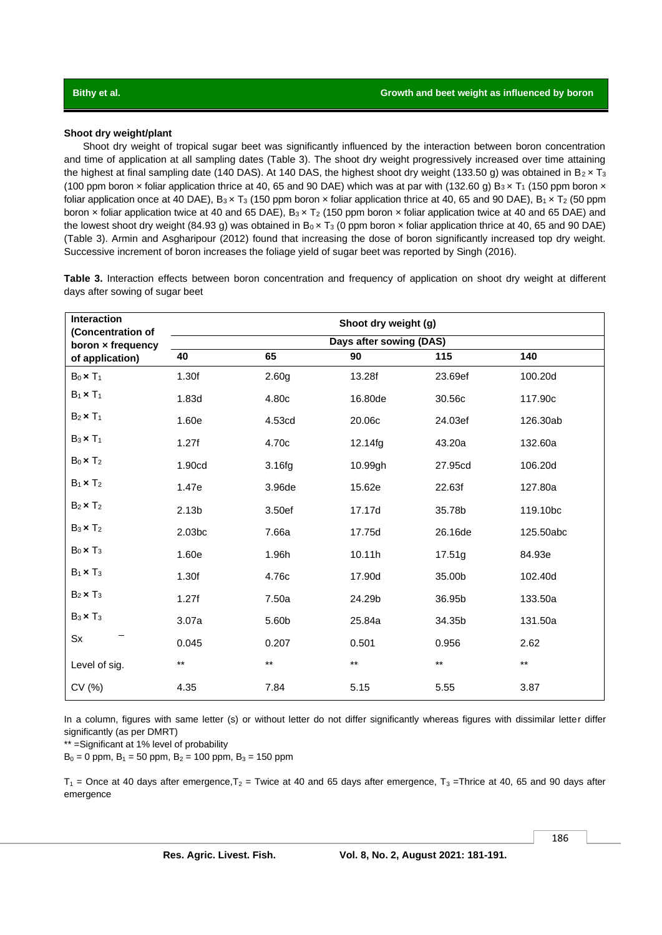### **Shoot dry weight/plant**

Shoot dry weight of tropical sugar beet was significantly influenced by the interaction between boron concentration and time of application at all sampling dates (Table 3). The shoot dry weight progressively increased over time attaining the highest at final sampling date (140 DAS). At 140 DAS, the highest shoot dry weight (133.50 g) was obtained in  $B_2 \times T_3$ (100 ppm boron x foliar application thrice at 40, 65 and 90 DAE) which was at par with (132.60 g)  $B_3 \times T_1$  (150 ppm boron  $\times$ foliar application once at 40 DAE),  $B_3 \times T_3$  (150 ppm boron  $\times$  foliar application thrice at 40, 65 and 90 DAE),  $B_1 \times T_2$  (50 ppm boron x foliar application twice at 40 and 65 DAE), B<sub>3</sub> x T<sub>2</sub> (150 ppm boron x foliar application twice at 40 and 65 DAE) and the lowest shoot dry weight (84.93 g) was obtained in  $B_0 \times T_3$  (0 ppm boron  $\times$  foliar application thrice at 40, 65 and 90 DAE) (Table 3). Armin and Asgharipour (2012) found that increasing the dose of boron significantly increased top dry weight. Successive increment of boron increases the foliage yield of sugar beet was reported by Singh (2016).

**Table 3.** Interaction effects between boron concentration and frequency of application on shoot dry weight at different days after sowing of sugar beet

| Interaction<br>(Concentration of     | Shoot dry weight (g)    |                   |                 |         |           |  |  |
|--------------------------------------|-------------------------|-------------------|-----------------|---------|-----------|--|--|
| boron x frequency<br>of application) | Days after sowing (DAS) |                   |                 |         |           |  |  |
|                                      | 40                      | 65                | 90              | 115     | 140       |  |  |
| $B_0 \times T_1$                     | 1.30f                   | 2.60 <sub>g</sub> | 13.28f          | 23.69ef | 100.20d   |  |  |
| $B_1 \times T_1$                     | 1.83d                   | 4.80c             | 16.80de         | 30.56c  | 117.90c   |  |  |
| $B_2 \times T_1$                     | 1.60e                   | 4.53cd            | 20.06c          | 24.03ef | 126.30ab  |  |  |
| $B_3 \times T_1$                     | 1.27f                   | 4.70c             | 12.14fg         | 43.20a  | 132.60a   |  |  |
| $B_0 \times T_2$                     | 1.90cd                  | 3.16fg            | 10.99gh         | 27.95cd | 106.20d   |  |  |
| $B_1 \times T_2$                     | 1.47e                   | 3.96de            | 15.62e          | 22.63f  | 127.80a   |  |  |
| $B_2 \times T_2$                     | 2.13 <sub>b</sub>       | 3.50ef            | 17.17d          | 35.78b  | 119.10bc  |  |  |
| $B_3 \times T_2$                     | 2.03 <sub>bc</sub>      | 7.66a             | 17.75d          | 26.16de | 125.50abc |  |  |
| $B_0 \times T_3$                     | 1.60e                   | 1.96h             | 10.11h          | 17.51g  | 84.93e    |  |  |
| $B_1 \times T_3$                     | 1.30f                   | 4.76c             | 17.90d          | 35.00b  | 102.40d   |  |  |
| $B_2 \times T_3$                     | 1.27f                   | 7.50a             | 24.29b          | 36.95b  | 133.50a   |  |  |
| $B_3 \times T_3$                     | 3.07a                   | 5.60b             | 25.84a          | 34.35b  | 131.50a   |  |  |
| Sx                                   | 0.045                   | 0.207             | 0.501           | 0.956   | 2.62      |  |  |
| Level of sig.                        | $***$                   | $***$             | $^{\star\star}$ | $***$   | $***$     |  |  |
| CV(%)                                | 4.35                    | 7.84              | 5.15            | 5.55    | 3.87      |  |  |

In a column, figures with same letter (s) or without letter do not differ significantly whereas figures with dissimilar letter differ significantly (as per DMRT)

\*\* =Significant at 1% level of probability

 $B_0 = 0$  ppm,  $B_1 = 50$  ppm,  $B_2 = 100$  ppm,  $B_3 = 150$  ppm

 $T_1$  = Once at 40 days after emergence,  $T_2$  = Twice at 40 and 65 days after emergence,  $T_3$  = Thrice at 40, 65 and 90 days after emergence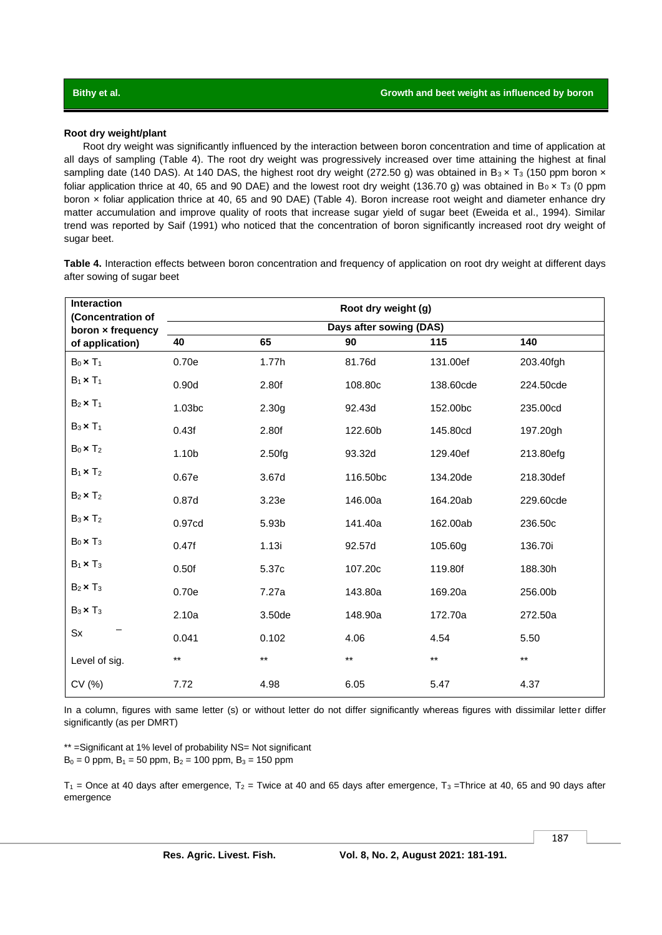### **Root dry weight/plant**

Root dry weight was significantly influenced by the interaction between boron concentration and time of application at all days of sampling (Table 4). The root dry weight was progressively increased over time attaining the highest at final sampling date (140 DAS). At 140 DAS, the highest root dry weight (272.50 g) was obtained in B<sub>3</sub> x T<sub>3</sub> (150 ppm boron x foliar application thrice at 40, 65 and 90 DAE) and the lowest root dry weight (136.70 g) was obtained in  $B_0 \times T_3$  (0 ppm boron x foliar application thrice at 40, 65 and 90 DAE) (Table 4). Boron increase root weight and diameter enhance dry matter accumulation and improve quality of roots that increase sugar yield of sugar beet (Eweida et al., 1994). Similar trend was reported by Saif (1991) who noticed that the concentration of boron significantly increased root dry weight of sugar beet.

**Table 4.** Interaction effects between boron concentration and frequency of application on root dry weight at different days after sowing of sugar beet

| Interaction<br>(Concentration of | Root dry weight (g)     |                   |                 |           |                 |  |  |
|----------------------------------|-------------------------|-------------------|-----------------|-----------|-----------------|--|--|
| boron x frequency                | Days after sowing (DAS) |                   |                 |           |                 |  |  |
| of application)                  | 40                      | 65                | 90              | 115       | 140             |  |  |
| $B_0 \times T_1$                 | 0.70e                   | 1.77h             | 81.76d          | 131.00ef  | 203.40fgh       |  |  |
| $B_1 \times T_1$                 | 0.90d                   | 2.80f             | 108.80c         | 138.60cde | 224.50cde       |  |  |
| $B_2 \times T_1$                 | 1.03bc                  | 2.30 <sub>g</sub> | 92.43d          | 152.00bc  | 235.00cd        |  |  |
| $B_3 \times T_1$                 | 0.43f                   | 2.80f             | 122.60b         | 145.80cd  | 197.20gh        |  |  |
| $B_0 \times T_2$                 | 1.10 <sub>b</sub>       | 2.50fg            | 93.32d          | 129.40ef  | 213.80efg       |  |  |
| $B_1 \times T_2$                 | 0.67e                   | 3.67d             | 116.50bc        | 134.20de  | 218.30def       |  |  |
| $B_2 \times T_2$                 | 0.87d                   | 3.23e             | 146.00a         | 164.20ab  | 229.60cde       |  |  |
| $B_3 \times T_2$                 | 0.97cd                  | 5.93b             | 141.40a         | 162.00ab  | 236.50c         |  |  |
| $B_0 \times T_3$                 | 0.47f                   | 1.13i             | 92.57d          | 105.60g   | 136.70i         |  |  |
| $B_1 \times T_3$                 | 0.50f                   | 5.37c             | 107.20c         | 119.80f   | 188.30h         |  |  |
| $B_2 \times T_3$                 | 0.70e                   | 7.27a             | 143.80a         | 169.20a   | 256.00b         |  |  |
| $B_3 \times T_3$                 | 2.10a                   | 3.50de            | 148.90a         | 172.70a   | 272.50a         |  |  |
| $S_{X}$                          | 0.041                   | 0.102             | 4.06            | 4.54      | 5.50            |  |  |
| Level of sig.                    | $***$                   | $***$             | $^{\star\star}$ | $***$     | $^{\star\star}$ |  |  |
| CV (%)                           | 7.72                    | 4.98              | 6.05            | 5.47      | 4.37            |  |  |

In a column, figures with same letter (s) or without letter do not differ significantly whereas figures with dissimilar letter differ significantly (as per DMRT)

\*\* =Significant at 1% level of probability NS= Not significant  $B_0 = 0$  ppm,  $B_1 = 50$  ppm,  $B_2 = 100$  ppm,  $B_3 = 150$  ppm

 $T_1$  = Once at 40 days after emergence,  $T_2$  = Twice at 40 and 65 days after emergence,  $T_3$  = Thrice at 40, 65 and 90 days after emergence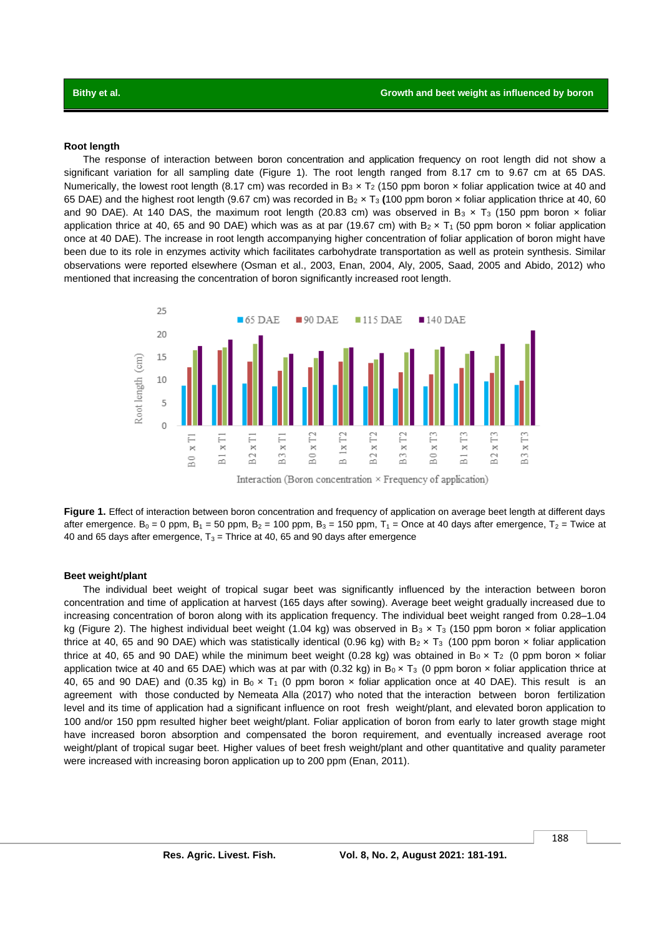### **Root length**

The response of interaction between boron concentration and application frequency on root length did not show a significant variation for all sampling date (Figure 1). The root length ranged from 8.17 cm to 9.67 cm at 65 DAS. Numerically, the lowest root length (8.17 cm) was recorded in  $B_3 \times T_2$  (150 ppm boron  $\times$  foliar application twice at 40 and 65 DAE) and the highest root length (9.67 cm) was recorded in B<sup>2</sup> × T<sup>3</sup> **(**100 ppm boron × foliar application thrice at 40, 60 and 90 DAE). At 140 DAS, the maximum root length (20.83 cm) was observed in B<sub>3</sub> x T<sub>3</sub> (150 ppm boron x foliar application thrice at 40, 65 and 90 DAE) which was as at par (19.67 cm) with  $B_2 \times T_1$  (50 ppm boron  $\times$  foliar application once at 40 DAE). The increase in root length accompanying higher concentration of foliar application of boron might have been due to its role in enzymes activity which facilitates carbohydrate transportation as well as protein synthesis. Similar observations were reported elsewhere (Osman et al., 2003, Enan, 2004, Aly, 2005, Saad, 2005 and Abido, 2012) who mentioned that increasing the concentration of boron significantly increased root length.



**Figure 1.** Effect of interaction between boron concentration and frequency of application on average beet length at different days after emergence. B<sub>0</sub> = 0 ppm, B<sub>1</sub> = 50 ppm, B<sub>2</sub> = 100 ppm, B<sub>3</sub> = 150 ppm, T<sub>1</sub> = Once at 40 days after emergence, T<sub>2</sub> = Twice at 40 and 65 days after emergence,  $T_3$  = Thrice at 40, 65 and 90 days after emergence

### **Beet weight/plant**

The individual beet weight of tropical sugar beet was significantly influenced by the interaction between boron concentration and time of application at harvest (165 days after sowing). Average beet weight gradually increased due to increasing concentration of boron along with its application frequency. The individual beet weight ranged from 0.28–1.04 kg (Figure 2). The highest individual beet weight (1.04 kg) was observed in B<sub>3</sub> x T<sub>3</sub> (150 ppm boron x foliar application thrice at 40, 65 and 90 DAE) which was statistically identical (0.96 kg) with  $B_2 \times T_3$  (100 ppm boron  $\times$  foliar application thrice at 40, 65 and 90 DAE) while the minimum beet weight (0.28 kg) was obtained in  $B_0 \times T_2$  (0 ppm boron  $\times$  foliar application twice at 40 and 65 DAE) which was at par with (0.32 kg) in  $B_0 \times T_3$  (0 ppm boron  $\times$  foliar application thrice at 40, 65 and 90 DAE) and (0.35 kg) in B<sub>0</sub>  $\times$  T<sub>1</sub> (0 ppm boron  $\times$  foliar application once at 40 DAE). This result is an agreement with those conducted by Nemeata Alla (2017) who noted that the interaction between boron fertilization level and its time of application had a significant influence on root fresh weight/plant, and elevated boron application to 100 and/or 150 ppm resulted higher beet weight/plant. Foliar application of boron from early to later growth stage might have increased boron absorption and compensated the boron requirement, and eventually increased average root weight/plant of tropical sugar beet. Higher values of beet fresh weight/plant and other quantitative and quality parameter were increased with increasing boron application up to 200 ppm (Enan, 2011).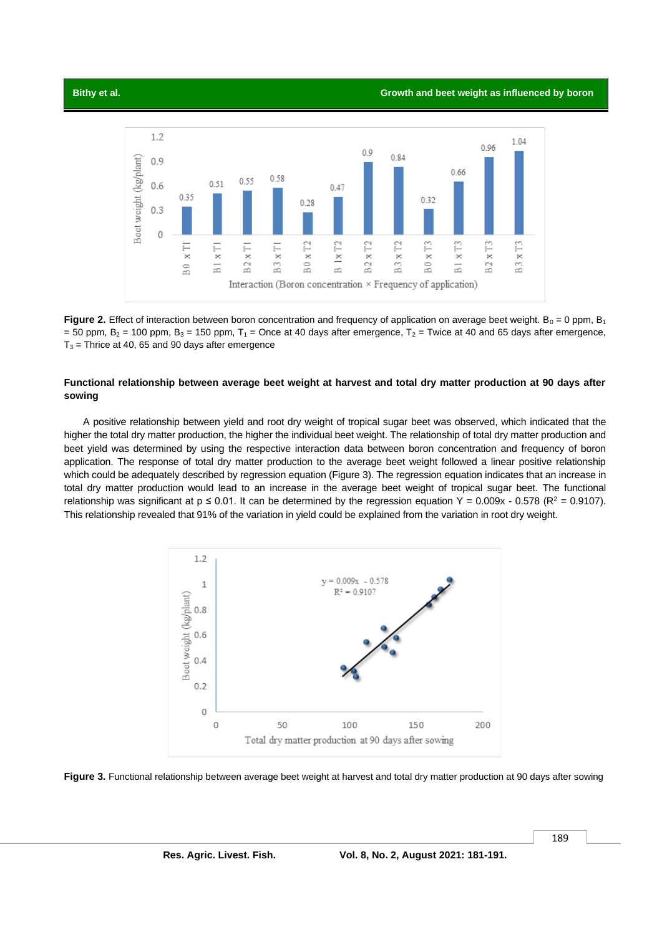**Bithy et al. Growth and beet weight as influenced by boron**



**Figure 2.** Effect of interaction between boron concentration and frequency of application on average beet weight. B<sub>0</sub> = 0 ppm, B<sub>1</sub> = 50 ppm,  $B_2$  = 100 ppm,  $B_3$  = 150 ppm,  $T_1$  = Once at 40 days after emergence,  $T_2$  = Twice at 40 and 65 days after emergence,  $T_3$  = Thrice at 40, 65 and 90 days after emergence

### **Functional relationship between average beet weight at harvest and total dry matter production at 90 days after sowing**

A positive relationship between yield and root dry weight of tropical sugar beet was observed, which indicated that the higher the total dry matter production, the higher the individual beet weight. The relationship of total dry matter production and beet yield was determined by using the respective interaction data between boron concentration and frequency of boron application. The response of total dry matter production to the average beet weight followed a linear positive relationship which could be adequately described by regression equation (Figure 3). The regression equation indicates that an increase in total dry matter production would lead to an increase in the average beet weight of tropical sugar beet. The functional relationship was significant at  $p \le 0.01$ . It can be determined by the regression equation Y = 0.009x - 0.578 (R<sup>2</sup> = 0.9107). This relationship revealed that 91% of the variation in yield could be explained from the variation in root dry weight.



**Figure 3.** Functional relationship between average beet weight at harvest and total dry matter production at 90 days after sowing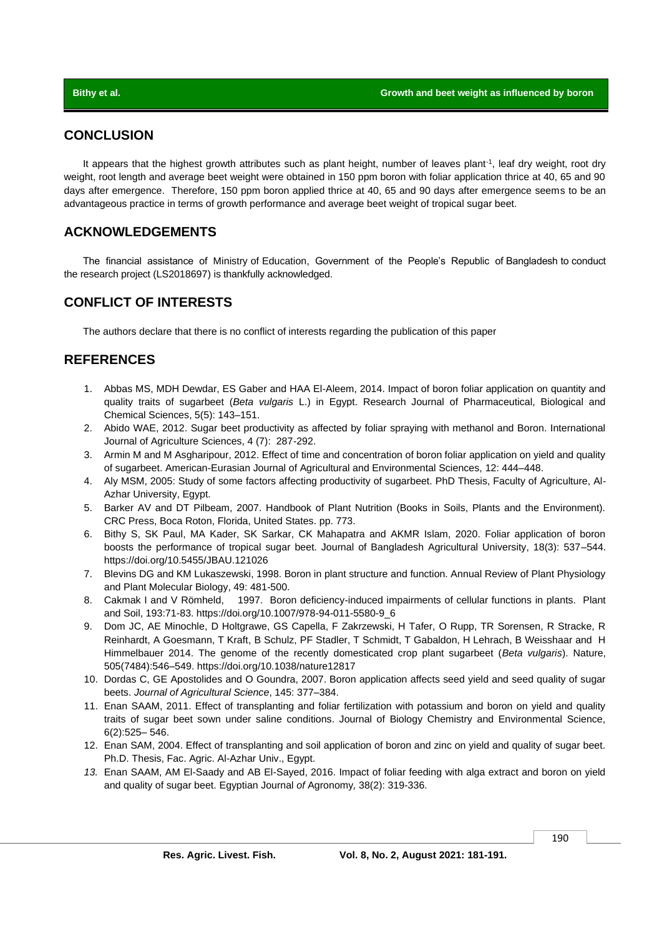# **CONCLUSION**

It appears that the highest growth attributes such as plant height, number of leaves plant<sup>-1</sup>, leaf dry weight, root dry weight, root length and average beet weight were obtained in 150 ppm boron with foliar application thrice at 40, 65 and 90 days after emergence. Therefore, 150 ppm boron applied thrice at 40, 65 and 90 days after emergence seems to be an advantageous practice in terms of growth performance and average beet weight of tropical sugar beet.

# **ACKNOWLEDGEMENTS**

The financial assistance of Ministry of Education, Government of the People's Republic of Bangladesh to conduct the research project (LS2018697) is thankfully acknowledged.

# **CONFLICT OF INTERESTS**

The authors declare that there is no conflict of interests regarding the publication of this paper

# **REFERENCES**

- 1. Abbas MS, MDH Dewdar, ES Gaber and HAA El-Aleem, 2014. Impact of boron foliar application on quantity and quality traits of sugarbeet (*Beta vulgaris* L.) in Egypt. Research Journal of Pharmaceutical, Biological and Chemical Sciences, 5(5): 143–151.
- 2. Abido WAE, 2012. Sugar beet productivity as affected by foliar spraying with methanol and Boron. International Journal of Agriculture Sciences, 4 (7): 287-292.
- 3. Armin M and M Asgharipour, 2012. Effect of time and concentration of boron foliar application on yield and quality of sugarbeet. American-Eurasian Journal of Agricultural and Environmental Sciences, 12: 444–448.
- 4. Aly MSM, 2005: Study of some factors affecting productivity of sugarbeet. PhD Thesis, Faculty of Agriculture, Al-Azhar University, Egypt.
- 5. Barker AV and DT Pilbeam, 2007. Handbook of Plant Nutrition (Books in Soils, Plants and the Environment). CRC Press, Boca Roton, Florida, United States. pp. 773.
- 6. Bithy S, SK Paul, MA Kader, SK Sarkar, CK Mahapatra and AKMR Islam, 2020. Foliar application of boron boosts the performance of tropical sugar beet. Journal of Bangladesh Agricultural University, 18(3): 537–544. <https://doi.org/10.5455/JBAU.121026>
- 7. Blevins DG and KM Lukaszewski, 1998. Boron in plant structure and function. Annual Review of Plant Physiology and Plant Molecular Biology, 49: 481-500.
- 8. Cakmak I and V Römheld, 1997. Boron deficiency-induced impairments of cellular functions in plants. Plant and Soil, 193:71-83. https://doi.org/10.1007/978-94-011-5580-9\_6
- 9. Dom JC, AE Minochle, D Holtgrawe, GS Capella, F Zakrzewski, H Tafer, O Rupp, TR Sorensen, R Stracke, R Reinhardt, A Goesmann, T Kraft, B Schulz, PF Stadler, T Schmidt, T Gabaldon, H Lehrach, B Weisshaar and H Himmelbauer 2014. The genome of the recently domesticated crop plant sugarbeet (*Beta vulgaris*). Nature, 505(7484):546–549. https://doi.org/10.1038/nature12817
- 10. Dordas C, GE Apostolides and O Goundra, 2007. Boron application affects seed yield and seed quality of sugar beets. *Journal of Agricultural Science*, 145: 377–384.
- 11. Enan SAAM, 2011. Effect of transplanting and foliar fertilization with potassium and boron on yield and quality traits of sugar beet sown under saline conditions. Journal of Biology Chemistry and Environmental Science, 6(2):525– 546.
- 12. Enan SAM, 2004. Effect of transplanting and soil application of boron and zinc on yield and quality of sugar beet. Ph.D. Thesis, Fac. Agric. Al-Azhar Univ., Egypt.
- *13.* Enan SAAM, AM El-Saady and AB El-Sayed, 2016. Impact of foliar feeding with alga extract and boron on yield and quality of sugar beet. Egyptian Journal *of* Agronomy*,* 38(2): 319-336.